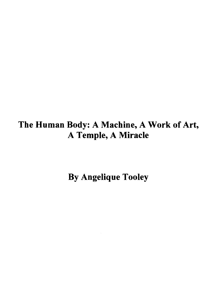# The Human Body: A Machine, A Work of Art, A Temple, A Miracle

By Angelique Tooley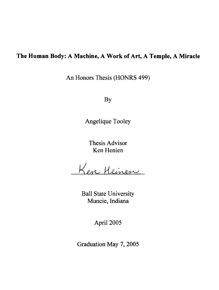### **The Human Body: A Machine, A Work of Art, A Temple, A Miracle**

An Honors Thesis (HONRS 499)

By

Angelique Tooley

Thesis Advisor Ken Henien

Ken Heinen

Ball State University Muncie, Indiana

April 2005

Graduation May 7, 2005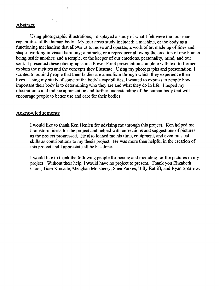### Abstract

Using photographic illustrations, I displayed a study of what I felt were the four main capabilities of the human body. My four areas study included: a machine, or the body as a functioning mechanism that allows us to move and operate; a work of art made up of lines and shapes working in visual harmony; a miracle, or a reproducer allowing the creation of one human being inside another; and a temple, or the keeper of our emotions, personality, mind, and our soul. I presented these photographs in a Power Point presentation complete with text to further explain the pictures and the concepts they illustrate. Using my photographs and presentation, I wanted to remind people that their bodies are a medium through which they experience their lives. Using my study of some of the body's capabilities, I wanted to express to people how important their body is to determining who they are and what they do in life. I hoped my illustration could induce appreciation and further understanding of the human body that will encourage people to better use and care for their bodies.

### Acknowledgements

I would like to thank Ken Henien for advising me through this project. Ken helped me brainstorm ideas for the project and helped with corrections and suggestions of pictures as the project progressed. He also loaned me his time, equipment, and even musical skills as contributions to my thesis project. He was more than helpful in the creation of this project and I appreciate all he has done.

I would like to thank the following people for posing and modeling for the pictures in my project. Without their help, I would have no project to present. Thank you Elizabeth Curet, Tiara Kincade, Meaghan Moisberry, Shea Parkes, Billy Ratliff, and Ryan Sparrow.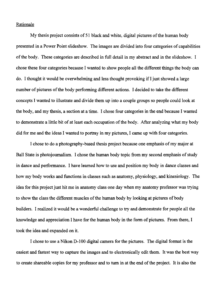#### Rationale

My thesis project consists of 51 black and white, digital pictures of the human body presented in a Power Point slideshow. The images are divided into four categories of capabilities of the body. These categories are described in full detail in my abstract and in the slideshow. I chose these four categories because I wanted to show people all the different things the body can do. I thought it would be overwhelming and less thought provoking if I just showed a large number of pictures of the body performing different actions. I decided to take the different concepts I wanted to illustrate and divide them up into a couple groups so people could look at the body, and my thesis, a section at a time. I chose four categories in the end because I wanted to demonstrate a little bit of at least each occupation of the body. After analyzing what my body did for me and the ideas I wanted to portray in my pictures, I came up with four categories.

I chose to do a photography-based thesis project because one emphasis of my major at Ball State is photojournalism. I chose the human body topic from my second emphasis of study in dance and performance. I have learned how to use and position my body in dance classes and how my body works and functions in classes such as anatomy, physiology, and kinesiology. The idea for this project just hit me in anatomy class one day when my anatomy professor was trying to show the class the different muscles of the human body by looking at pictures of body builders. I realized it would be a wonderful challenge to try and demonstrate for people all the knowledge and appreciation I have for the human body in the form of pictures. From there. I took the idea and expanded on it.

I chose to use a Nikon D-100 digital camera for the pictures. The digital format is the easiest and fastest way to capture the images and to electronically edit them. It was the best way to create shareable copies for my professor and to turn in at the end of the project. It is also the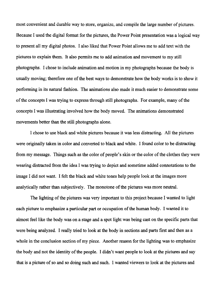most convenient and durable way to store, organize, and compile the large number of pictures. Because I used the digital format for the pictures, the Power Point presentation was a logical way to present all my digital photos. I also liked that Power Point allows me to add text with the pictures to explain them. It also permits me to add animation and movement to my still photographs. I chose to include animation and motion in my photographs because the body is usually moving; therefore one of the best ways to demonstrate how the body works is to show it performing in its natural fashion. The animations also made it much easier to demonstrate some of the concepts I was trying to express through still photographs. For example, many of the concepts I was illustrating involved how the body moved. The animations demonstrated movements better than the still photographs alone.

I chose to use black and white pictures because it was less distracting. All the pictures were originally taken in color and converted to black and white. I found color to be distracting from my message. Things such as the color of people's skin or the color of the clothes they were wearing distracted from the idea I was trying to depict and sometime added connotations to the image I did not want. I felt the black and white tones help people look at the images more analytically rather than subjectively. The monotone of the pictures was more neutral.

The lighting of the pictures was very important to this project because I wanted to light each picture to emphasize a particular part or occupation of the human body. I wanted it to almost feel like the body was on a stage and a spot light was being cast on the specific parts that were being analyzed. I really tried to look at the body in sections and parts first and then as a whole in the conclusion section of my piece. Another reason for the lighting was to emphasize the body and not the identity of the people. I didn't want people to look at the pictures and say that is a picture of so and so doing such and such. I wanted viewers to look at the pictures and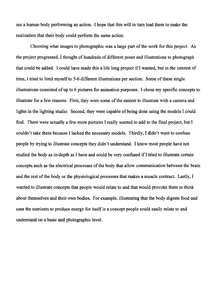see a human body performing an action. I hope that this will in turn lead them to make the realization that their body could perform the same action.

Choosing what images to photographic was a large part of the work for this project. As the project progressed, I thought of hundreds of different poses and illustrations to photograph that could be added. I could have made this a life long project ifI wanted, but in the interest of time, I tried to limit myself to 5-6 different illustrations per section. Some of these single illustrations consisted of up to 6 pictures for animation purposes. I chose my specific concepts to illustrate for a few reasons. First, they were some of the easiest to illustrate with a camera and lights in the lighting studio. Second, they were capable of being done using the models I could find. There were actually a few more pictures I really wanted to add to the final project, but I couldn't take them because I lacked the necessary models. Thirdly, I didn't want to confuse people by trying to illustrate concepts they didn't understand. I know most people have not studied the body as in-depth as I have and could be very confused if I tried to illustrate certain concepts such as the electrical processes of the body that allow communication between the brain and the rest of the body or the physiological processes that makes a muscle contract. Lastly, I wanted to illustrate concepts that people would relate to and that would provoke them to think about themselves and their own bodies. For example, illustrating that the body digests food and uses the nutrients to produce energy for itself is a concept people could easily relate to and understand on a basic and photographic level.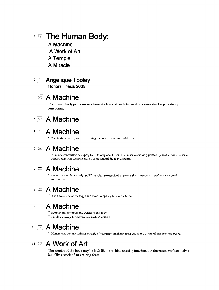# 1.**I.** The Human Body:

**A Machine**  A Work of Art **A Temple A Miracle** 

### 21°1 **Angelique Tooley Honors Thesis 2005**

## <sup>3</sup>in **A Machine**

The human body performs mechanical, chemical, and electrical processes that keep us alive and functioning.

## <sup>4</sup>**A Machine**

## $s \approx A$  Machine

• The body is also capable of excreting the food that it was unable to use.

# 6 iE]\ **A Machine**

• A muscle contraction can apply force in only one direction. so muscles can only perfotm pulling actions. Muscl." require help from another muscle or an external force to elongate.

# 7 EJ **A Machine**

• Because a muscle can only "pull," muscles are organized in groups that contribute to perform a range of movements.

## 8 **A** Machine

• The knee is one of the larger and mort compkx joints in the body.

# <sup>91</sup>**A Machine**

- \* Support and distribute the weight of the body
- Provide leverage for movements such as walking

## 10 **A Machine**

• Humans are the only animals capable of standing completely crect due to the design of our back and pelvis.

## 11 EJI **A Work of Art**

The interior of the body may be built like a machine creating function, but the exterior of the body is built like a work of art creating form.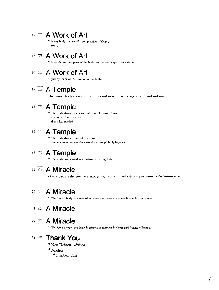## 12 **A** Work of Art

• Every body is a beautiful composition of shape, form,

# 13 **A Work of Art**

 $*$  Even the smallest parts of the body can create a unique composition.

# 14 [[]! **A Work of Art**

 $\bullet$  Just by changing the position of the body ...

# 15<sup>[1]</sup> A Temple

The human body allows us to express and store the workings of our mind and soul.

# 16<sup>[3]</sup> A Temple

• The body allows us to learn and store all forms of data, and to recall and usc that data when needed.

# <sup>17</sup>**A Temple**

• The body allows us to fed emorions, and communicate emotions to others through body language.

# <sup>18</sup>**A Temple**

• The body can be used as a tool for practicing faith.

## <sup>19</sup>[9 **A Miracle**

Our bodies are designed to create, grow, birth, and feed offspring to continue the human race.

# 20 **a** A Miracle

• The human body is capable of initiating the creation of a new human life on its own.

# <sup>21</sup>**A Miracle**

# <sup>22</sup>**A Miracle**

• The female body specifically is capable of carrying, birthing, and feeding offspring.

## 31 **18 Thank You**

- Ken Heinen-Advisor
- $\bullet$  Models
	- Elizabeth Curet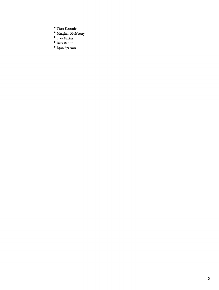- Tiara Kincade
- $\bullet$  Meaghan Molsberry
- Shea Parkes
- Billy Ratliff
- Ryan Sparrow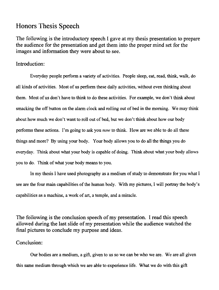## Honors Thesis Speech

The following is the introductory speech I gave at my thesis presentation to prepare the audience for the presentation and get them into the proper mind set for the images and information they were about to see.

### Introduction:

Everyday people perfonn a variety of activities. People sleep, eat, read, think. walk, do all kinds of activities. Most of us perfonn these daily activities, without even thinking about them. Most of us don't have to think to do these activities. For example. we don't think about smacking the off button on the alarm clock and rolling out of bed in the morning. We may think about how much we don't want to roll out of bed, but we don't think about how our body perfonns these actions. I'm going to ask you *now* to think. How are we able to do all these things and more? By using your body. Your body allows you to do all the things you do everyday. Think about what your body is capable of doing. Think about what your body allows you to do. Think of what your body means to you.

In my thesis I have used photography as a medium of study to demonstrate for you what I see are the four main capabilities of the human body. With my pictures, I will portray the body's capabilities as a machine, a work of art, a temple, and a miracle.

The following is the conclusion speech of my presentation. I read this speech allowed during the last slide of my presentation while the audience watched the final pictures to conclude my purpose and ideas.

### Conclusion:

Our bodies are a medium, a gift, given to us so we can be who we are. We are all given this same medium through which we are able to experience life. What we do with this gift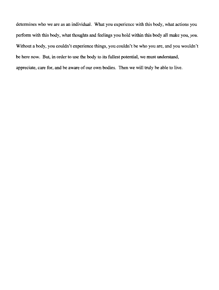determines who we are as an individual. What you experience with this body, what actions you perform with this body. what thoughts and feelings you hold within this body all make you, *you.*  Without a body, you couldn't experience things, you couldn't be who you are, and you wouldn't be here now. But, in order to use the body to its fullest potential, we must understand, appreciate, care for, and be aware of our own bodies. Then we will truly be able to live.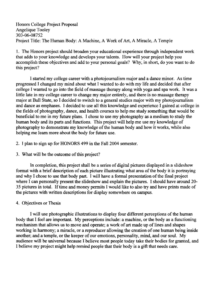Honors College Project Proposal Angelique Tooley 303-06-08752 Project Title: The Human Body: A Machine, A Work of Art, A Miracle, A Temple

1. The Honors project should broaden your educational experience through independent work that adds to your knowledge and deVelops your talents. How will your project help you accomplish these objectives and add to your personal goals? Why, in short, do you want to do this project?

I started my college career with a photojournalism major and a dance minor. As time progressed I changed my mind about what I wanted to do with my life and decided that after college I wanted to go into the field of massage therapy along with yoga and spa work. It was a little late in my college career to change my major entirely, and there is no massage therapy major at Ball State, so I decided to switch to a general studies major with my photojournalism and dance as emphases. I decided to use all this knowledge and experience I gained at college in the fields of photography, dance, and health courses to help me study something that would be beneficial to me in my future plans. I chose to use my photography as a medium to study the human body and its parts and functions. This project will help me use my knowledge of photography to demonstrate my knowledge of the human body and how it works, while also helping me learn more about the body for future use.

- 2. I plan to sign up for HONORS 499 in the Fall 2004 semester.
- 3. What will be the outcome of this project?

In completion, this project shall be a series of digital pictures displayed in a slideshow format with a brief description of each picture illustrating what area of the body it is portraying and why I chose to use that body part. I will have a formal presentation of the final project where I can personally present the slideshow and explain the pictures. I should have around 20- 35 pictures in total. If time and money permits I would like to also try and have prints made of the pictures with written descriptions for display somewhere on campus.

### 4. Objectives or Thesis

I will use photographic illustrations to display four different perceptions of the human body that I feel are important. My perceptions include: a machine, or the body as a functioning mechanism that allows us to move and operate; a work of art made up of lines and shapes working in harmony; a miracle, or a reproducer allowing the creation of one human being inside another; and a temple, or the keeper of our emotions, personality, mind, and our soul. My audience will be universal because I believe most people today take their bodies for granted, and I believe my project might help remind people that their body is a gift that needs care.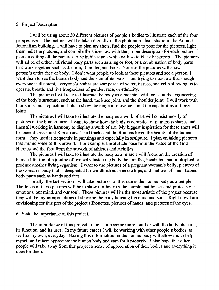#### 5. Project Description

I will be using about 30 different pictures of people's bodies to illustrate each of the four perspectives. The pictures will be taken digitally in the photojournalism studio in the Art and Journalism building. I will have to plan my shots, find the people to pose for the pictures, light them, edit the pictures, and compile the slideshow with the proper description for each picture. I plan on editing all the pictures to be in black and white with solid black backdrops. The pictures will all be of either individual body parts such as a leg or foot, or a combination of body parts that work together such as the arm, shoulder, and back. None of the pictures will show a person's entire face or body. I don't want people to look at these pictures and see a person, I want them to see the human body and the sum of its parts. I am trying to illustrate that though everyone is different, everyone's bodies are composed of water, tissues, and cells allowing us to operate, breath, and live irregardless of gender, race, or ethnicity.

The pictures I will take to illustrate the body as a machine will focus on the engineering of the body's structure, such as the hand, the knee joint, and the shoulder joint. I will work with blur shots and stop action shots to show the range of movement and the capabilities of these joints.

The pictures I will take to illustrate the body as a work of art will consist mostly of pictures of the human form. I want to show how the body is compiled of numerous shapes and lines all working in harmony to display a work of art. My biggest inspiration for these shots will be ancient Greek and Roman art. The Greeks and the Romans loved the beauty of the human form. They used it frequently in paintings and especially in sculpture. I plan on taking pictures that mimic some of this artwork. For example, the attitude pose from the statue of the God Hermes and the foot from the artwork of athletes and Achilles.

The pictures I will take to illustrate the body as a miracle will focus on the creation of human life from the joining of two cells inside the body that are fed, incubated, and multiplied to produce another living organism. I want to use pictures of a pregnant woman's belly, pictures of the woman's body that is designated for childbirth such as the hips, and pictures of small babies' body parts such as hands and feet.

Finally, the last section I will take pictures to illustrate is the human body as a temple. The focus of these pictures will be to show our body as the temple that houses and protects our emotions, our mind, and our soul. These pictures will be the most artistic of the project because they will be my interpretations of showing the body housing the mind and soul. Right now I am envisioning for this part of the project silhouettes, pictures of hands, and pictures of the eyes.

#### 6. State the importance of this project.

The importance of this project to me is to become more familiar with the body, its parts, its function, and its uses. In my future career I will be working with other people's bodies, as well as my own, everyday. Having this information on the human body will allow me to help myself and others appreciate the human body and care for it properly. I also hope that other people will take away from this project a sense of appreciation of their bodies and everything it does for them.